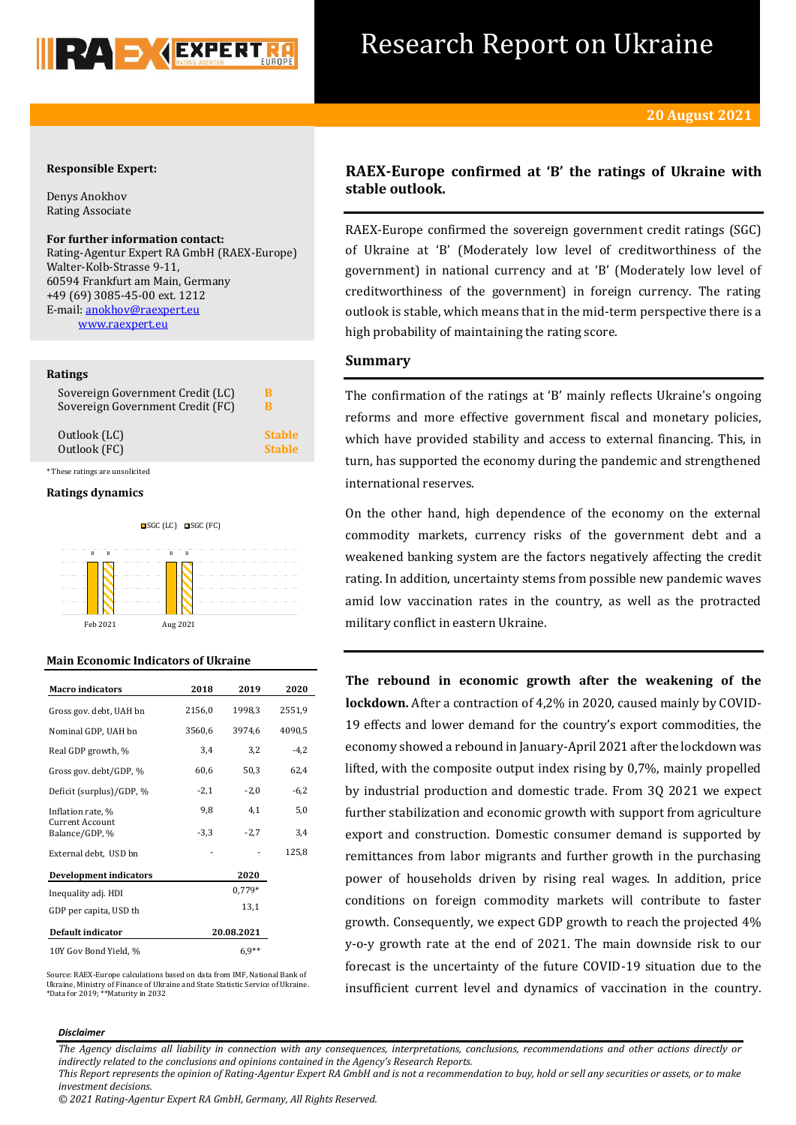

# Research Report on Ukraine

## **Responsible Expert:**

Denys Anokhov Rating Associate

## **For further information contact:**

Rating-Agentur Expert RA GmbH (RAEX-Europe) Walter-Kolb-Strasse 9-11, 60594 Frankfurt am Main, Germany +49 (69) 3085-45-00 ext. 1212 E-mail[: anokhov@raexpert.eu](mailto:anokhov@raexpert.eu) [www.raexpert.eu](http://raexpert.eu/)

## **Ratings**

| Sovereign Government Credit (LC) | в             |
|----------------------------------|---------------|
| Sovereign Government Credit (FC) | в             |
| Outlook (LC)                     | <b>Stable</b> |
| Outlook (FC)                     | <b>Stable</b> |
| * These ratings are unsolicited  |               |

#### **Ratings dynamics**





## **Main Economic Indicators of Ukraine**

| <b>Macro</b> indicators                  | 2018       | 2019   | 2020   |
|------------------------------------------|------------|--------|--------|
| Gross gov. debt, UAH bn                  | 2156,0     | 1998,3 | 2551,9 |
| Nominal GDP, UAH bn                      | 3560,6     | 3974,6 | 4090,5 |
| Real GDP growth, %                       | 3,4        | 3,2    | $-4,2$ |
| Gross gov. debt/GDP, %                   | 60,6       | 50,3   | 62,4   |
| Deficit (surplus)/GDP, %                 | $-2,1$     | $-2,0$ | $-6,2$ |
| Inflation rate, %                        | 9,8        | 4,1    | 5,0    |
| <b>Current Account</b><br>Balance/GDP, % | $-3,3$     | $-2,7$ | 3,4    |
| External debt, USD bn                    |            |        | 125,8  |
| <b>Development indicators</b>            |            | 2020   |        |
| Inequality adj. HDI                      |            | 0,779* |        |
| GDP per capita, USD th                   |            | 13,1   |        |
| Default indicator                        | 20.08.2021 |        |        |
| 10Y Gov Bond Yield, %                    | $6.9**$    |        |        |

Source: RAEX-Europe calculations based on data from IMF, National Bank of Ukraine, Ministry of Finance of Ukraine and State Statistic Service of Ukraine. \*Data for 2019; \*\*Maturity in 2032

## **RAEX-Europe confirmed at 'B' the ratings of Ukraine with stable outlook.**

RAEX-Europe confirmed the sovereign government credit ratings (SGC) of Ukraine at 'B' (Moderately low level of creditworthiness of the government) in national currency and at 'B' (Moderately low level of creditworthiness of the government) in foreign currency. The rating outlook is stable, which means that in the mid-term perspective there is a high probability of maintaining the rating score.

## **Summary**

The confirmation of the ratings at 'B' mainly reflects Ukraine's ongoing reforms and more effective government fiscal and monetary policies, which have provided stability and access to external financing. This, in turn, has supported the economy during the pandemic and strengthened international reserves.

On the other hand, high dependence of the economy on the external commodity markets, currency risks of the government debt and a weakened banking system are the factors negatively affecting the credit rating. In addition, uncertainty stems from possible new pandemic waves amid low vaccination rates in the country, as well as the protracted military conflict in eastern Ukraine.

**The rebound in economic growth after the weakening of the lockdown.** After a contraction of 4,2% in 2020, caused mainly by COVID-19 effects and lower demand for the country's export commodities, the economy showed a rebound in January-April 2021 after the lockdown was lifted, with the composite output index rising by 0,7%, mainly propelled by industrial production and domestic trade. From 3Q 2021 we expect further stabilization and economic growth with support from agriculture export and construction. Domestic consumer demand is supported by remittances from labor migrants and further growth in the purchasing power of households driven by rising real wages. In addition, price conditions on foreign commodity markets will contribute to faster growth. Consequently, we expect GDP growth to reach the projected 4% y-o-y growth rate at the end of 2021. The main downside risk to our forecast is the uncertainty of the future COVID-19 situation due to the insufficient current level and dynamics of vaccination in the country.

#### *Disclaimer*

*The Agency disclaims all liability in connection with any consequences, interpretations, conclusions, recommendations and other actions directly or indirectly related to the conclusions and opinions contained in the Agency's Research Reports.*

*This Report represents the opinion of Rating-Agentur Expert RA GmbH and is not a recommendation to buy, hold or sell any securities or assets, or to make investment decisions.*

*© 2021 Rating-Agentur Expert RA GmbH, Germany, All Rights Reserved.*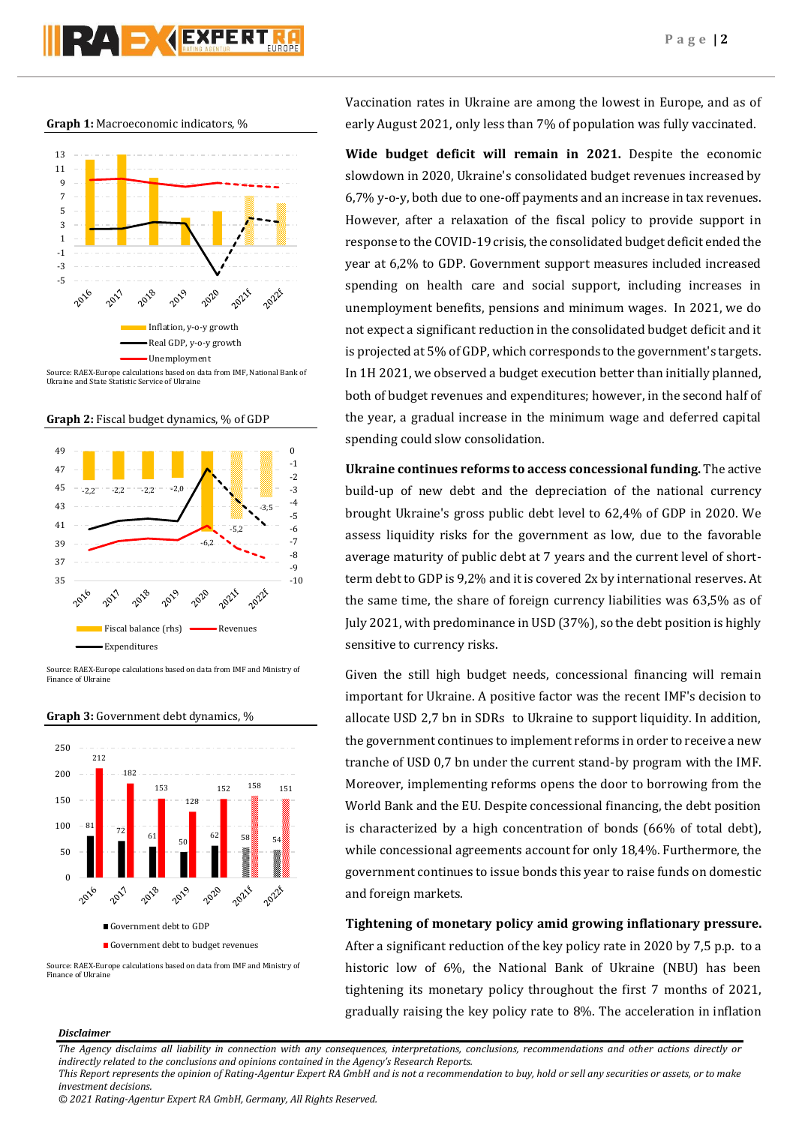





Ukraine and State Statistic Service of Ukraine





Source: RAEX-Europe calculations based on data from IMF and Ministry of Finance of Ukraine

**Graph 3:** Government debt dynamics, %



Source: RAEX-Europe calculations based on data from IMF and Ministry of Finance of Ukrain

Vaccination rates in Ukraine are among the lowest in Europe, and as of early August 2021, only less than 7% of population was fully vaccinated.

**Wide budget deficit will remain in 2021.** Despite the economic slowdown in 2020, Ukraine's consolidated budget revenues increased by 6,7% y-o-y, both due to one-off payments and an increase in tax revenues. However, after a relaxation of the fiscal policy to provide support in response to the COVID-19 crisis, the consolidated budget deficit ended the year at 6,2% to GDP. Government support measures included increased spending on health care and social support, including increases in unemployment benefits, pensions and minimum wages. In 2021, we do not expect a significant reduction in the consolidated budget deficit and it is projected at 5% of GDP, which corresponds to the government's targets. In 1H 2021, we observed a budget execution better than initially planned, both of budget revenues and expenditures; however, in the second half of the year, a gradual increase in the minimum wage and deferred capital spending could slow consolidation.

**Ukraine continues reforms to access concessional funding.** The active build-up of new debt and the depreciation of the national currency brought Ukraine's gross public debt level to 62,4% of GDP in 2020. We assess liquidity risks for the government as low, due to the favorable average maturity of public debt at 7 years and the current level of shortterm debt to GDP is 9,2% and it is covered 2x by international reserves. At the same time, the share of foreign currency liabilities was 63,5% as of July 2021, with predominance in USD (37%), so the debt position is highly sensitive to currency risks.

Given the still high budget needs, concessional financing will remain important for Ukraine. A positive factor was the recent IMF's decision to allocate USD 2,7 bn in SDRs to Ukraine to support liquidity. In addition, the government continues to implement reforms in order to receive a new tranche of USD 0,7 bn under the current stand-by program with the IMF. Moreover, implementing reforms opens the door to borrowing from the World Bank and the EU. Despite concessional financing, the debt position is characterized by a high concentration of bonds (66% of total debt), while concessional agreements account for only 18,4%. Furthermore, the government continues to issue bonds this year to raise funds on domestic and foreign markets.

**Tightening of monetary policy amid growing inflationary pressure.** After a significant reduction of the key policy rate in 2020 by 7,5 p.p. to a historic low of 6%, the National Bank of Ukraine (NBU) has been tightening its monetary policy throughout the first 7 months of 2021, gradually raising the key policy rate to 8%. The acceleration in inflation

## *Disclaimer*

*The Agency disclaims all liability in connection with any consequences, interpretations, conclusions, recommendations and other actions directly or indirectly related to the conclusions and opinions contained in the Agency's Research Reports.*

*This Report represents the opinion of Rating-Agentur Expert RA GmbH and is not a recommendation to buy, hold or sell any securities or assets, or to make investment decisions.*

*<sup>© 2021</sup> Rating-Agentur Expert RA GmbH, Germany, All Rights Reserved.*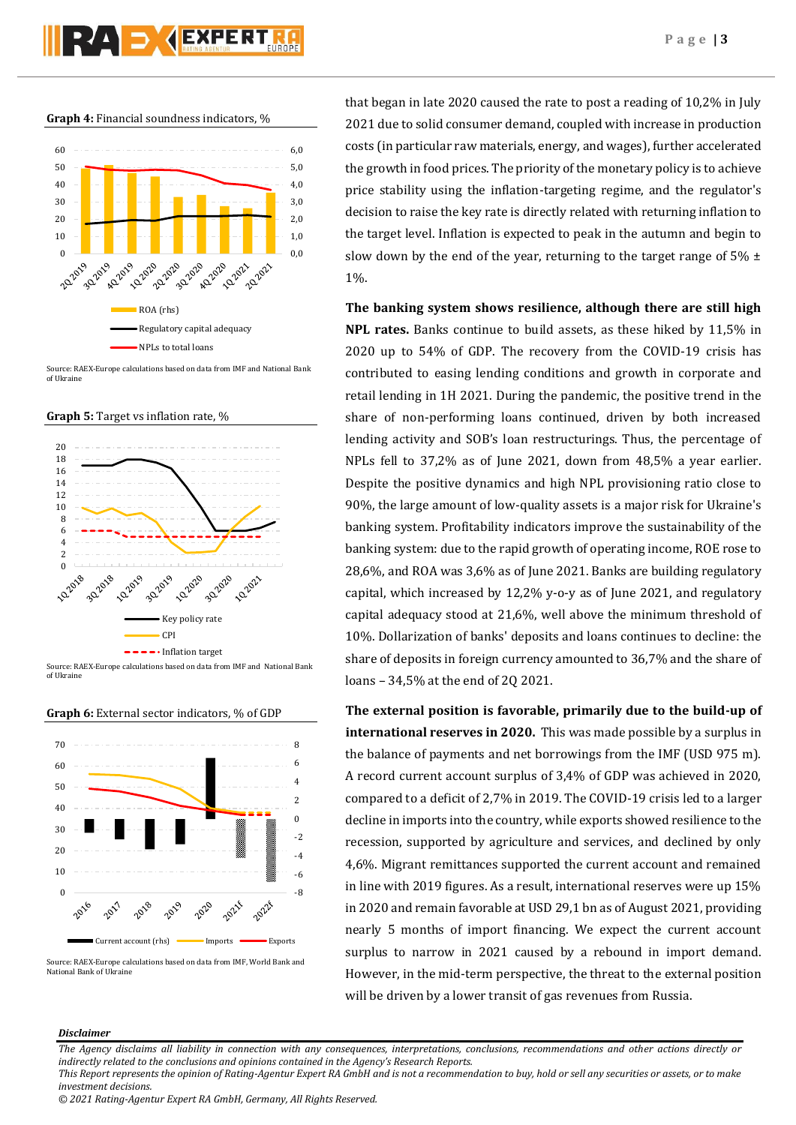**Graph 4:** Financial soundness indicators, %



Source: RAEX-Europe calculations based on data from IMF and National Bank of Ukraine









**Graph 6:** External sector indicators, % of GDP

2019

Current account (rhs) Imports Exports

that began in late 2020 caused the rate to post a reading of 10,2% in July 2021 due to solid consumer demand, coupled with increase in production costs (in particular raw materials, energy, and wages), further accelerated the growth in food prices. The priority of the monetary policy is to achieve price stability using the inflation-targeting regime, and the regulator's decision to raise the key rate is directly related with returning inflation to the target level. Inflation is expected to peak in the autumn and begin to slow down by the end of the year, returning to the target range of  $5\% \pm$ 1%.

**The banking system shows resilience, although there are still high NPL rates.** Banks continue to build assets, as these hiked by 11,5% in 2020 up to 54% of GDP. The recovery from the COVID-19 crisis has contributed to easing lending conditions and growth in corporate and retail lending in 1H 2021. During the pandemic, the positive trend in the share of non-performing loans continued, driven by both increased lending activity and SOB's loan restructurings. Thus, the percentage of NPLs fell to 37,2% as of June 2021, down from 48,5% a year earlier. Despite the positive dynamics and high NPL provisioning ratio close to 90%, the large amount of low-quality assets is a major risk for Ukraine's banking system. Profitability indicators improve the sustainability of the banking system: due to the rapid growth of operating income, ROE rose to 28,6%, and ROA was 3,6% as of June 2021. Banks are building regulatory capital, which increased by 12,2% y-o-y as of June 2021, and regulatory capital adequacy stood at 21,6%, well above the minimum threshold of 10%. Dollarization of banks' deposits and loans continues to decline: the share of deposits in foreign currency amounted to 36,7% and the share of loans – 34,5% at the end of 2Q 2021.

**The external position is favorable, primarily due to the build-up of international reserves in 2020.** This was made possible by a surplus in the balance of payments and net borrowings from the IMF (USD 975 m). A record current account surplus of 3,4% of GDP was achieved in 2020, compared to a deficit of 2,7% in 2019. The COVID-19 crisis led to a larger decline in imports into the country, while exports showed resilience to the recession, supported by agriculture and services, and declined by only 4,6%. Migrant remittances supported the current account and remained in line with 2019 figures. As a result, international reserves were up 15% in 2020 and remain favorable at USD 29,1 bn as of August 2021, providing nearly 5 months of import financing. We expect the current account surplus to narrow in 2021 caused by a rebound in import demand. However, in the mid-term perspective, the threat to the external position will be driven by a lower transit of gas revenues from Russia.

## *Disclaimer*

2016

*The Agency disclaims all liability in connection with any consequences, interpretations, conclusions, recommendations and other actions directly or indirectly related to the conclusions and opinions contained in the Agency's Research Reports.*

Source: RAEX-Europe calculations based on data from IMF, World Bank and National Bank of Ukraine

*This Report represents the opinion of Rating-Agentur Expert RA GmbH and is not a recommendation to buy, hold or sell any securities or assets, or to make investment decisions.*

*<sup>© 2021</sup> Rating-Agentur Expert RA GmbH, Germany, All Rights Reserved.*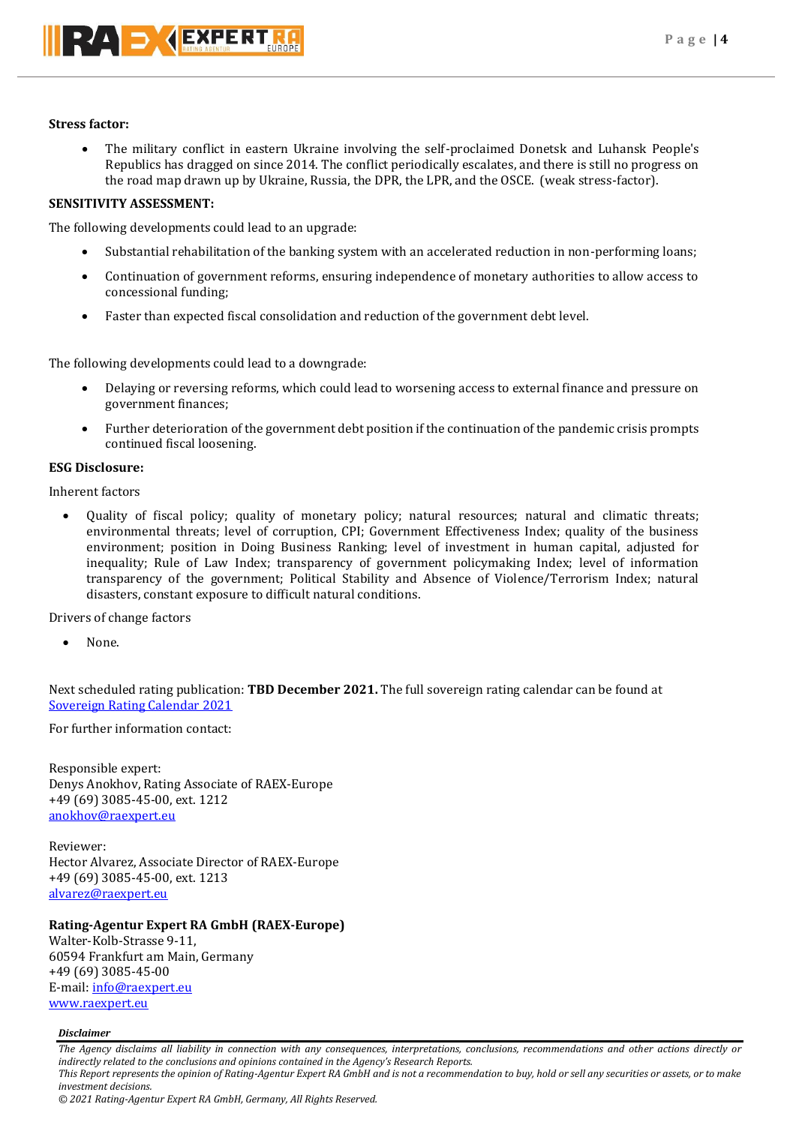## **Stress factor:**

 The military conflict in eastern Ukraine involving the self-proclaimed Donetsk and Luhansk People's Republics has dragged on since 2014. The conflict periodically escalates, and there is still no progress on the road map drawn up by Ukraine, Russia, the DPR, the LPR, and the OSCE. (weak stress-factor).

## **SENSITIVITY ASSESSMENT:**

The following developments could lead to an upgrade:

- Substantial rehabilitation of the banking system with an accelerated reduction in non-performing loans;
- Continuation of government reforms, ensuring independence of monetary authorities to allow access to concessional funding;
- Faster than expected fiscal consolidation and reduction of the government debt level.

The following developments could lead to a downgrade:

- Delaying or reversing reforms, which could lead to worsening access to external finance and pressure on government finances;
- Further deterioration of the government debt position if the continuation of the pandemic crisis prompts continued fiscal loosening.

## **ESG Disclosure:**

Inherent factors

 Quality of fiscal policy; quality of monetary policy; natural resources; natural and climatic threats; environmental threats; level of corruption, CPI; Government Effectiveness Index; quality of the business environment; position in Doing Business Ranking; level of investment in human capital, adjusted for inequality; Rule of Law Index; transparency of government policymaking Index; level of information transparency of the government; Political Stability and Absence of Violence/Terrorism Index; natural disasters, constant exposure to difficult natural conditions.

Drivers of change factors

None.

Next scheduled rating publication: **TBD December 2021.** The full sovereign rating calendar can be found at [Sovereign Rating Calendar 2021](https://raexpert.eu/sovereign/#conf-tab-5)

For further information contact:

Responsible expert: Denys Anokhov, Rating Associate of RAEX-Europe +49 (69) 3085-45-00, ext. 1212 [anokhov@raexpert.eu](mailto:anokhov@raexpert.eu)

Reviewer: Hector Alvarez, Associate Director of RAEX-Europe +49 (69) 3085-45-00, ext. 1213 [alvarez@raexpert.eu](mailto:alvarez@raexpert.eu)

## **Rating-Agentur Expert RA GmbH (RAEX-Europe)**

Walter-Kolb-Strasse 9-11, 60594 Frankfurt am Main, Germany +49 (69) 3085-45-00 E-mail[: info@raexpert.eu](mailto:info@raexpert.eu) [www.raexpert.eu](http://raexpert.eu/)

## *Disclaimer*

*The Agency disclaims all liability in connection with any consequences, interpretations, conclusions, recommendations and other actions directly or indirectly related to the conclusions and opinions contained in the Agency's Research Reports. This Report represents the opinion of Rating-Agentur Expert RA GmbH and is not a recommendation to buy, hold or sell any securities or assets, or to make*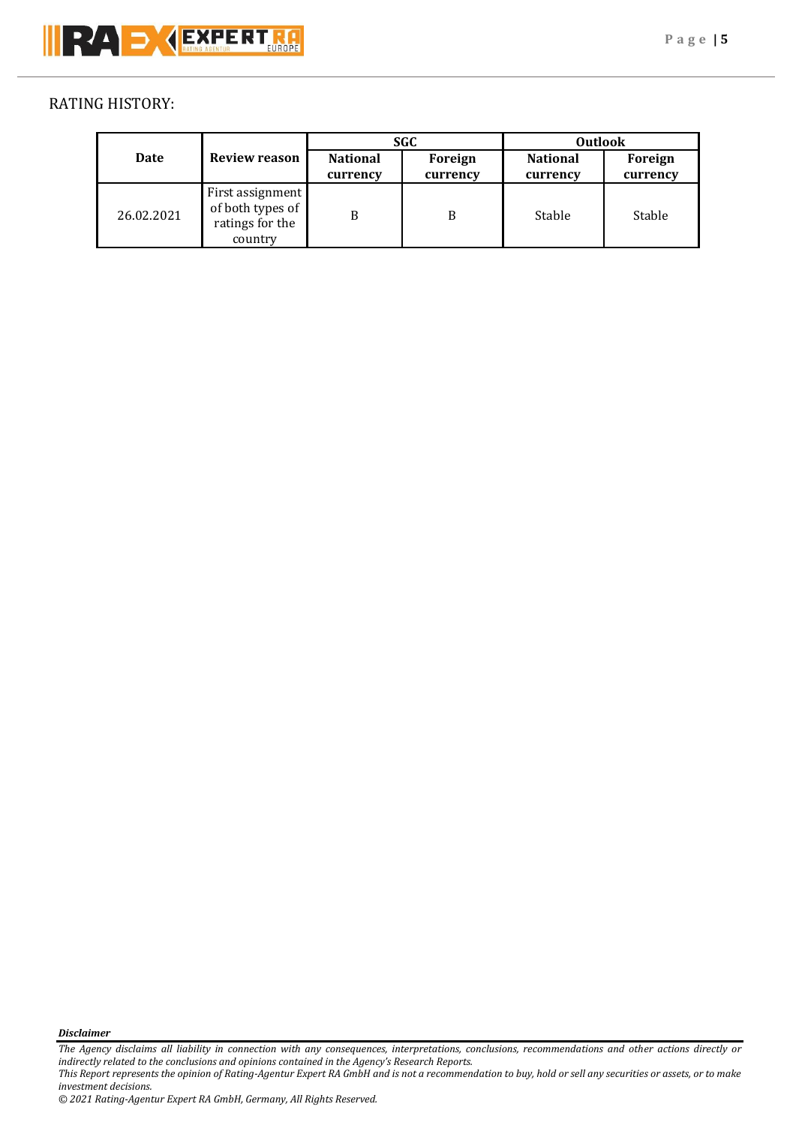# RATING HISTORY:

| Date       | <b>Review reason</b>                                               | <b>SGC</b>                  |                     | <b>Outlook</b>              |                     |
|------------|--------------------------------------------------------------------|-----------------------------|---------------------|-----------------------------|---------------------|
|            |                                                                    | <b>National</b><br>currency | Foreign<br>currency | <b>National</b><br>currency | Foreign<br>currency |
| 26.02.2021 | First assignment<br>of both types of<br>ratings for the<br>country | B                           | B                   | Stable                      | Stable              |

*Disclaimer* 

*The Agency disclaims all liability in connection with any consequences, interpretations, conclusions, recommendations and other actions directly or indirectly related to the conclusions and opinions contained in the Agency's Research Reports.*

*This Report represents the opinion of Rating-Agentur Expert RA GmbH and is not a recommendation to buy, hold or sell any securities or assets, or to make investment decisions.*